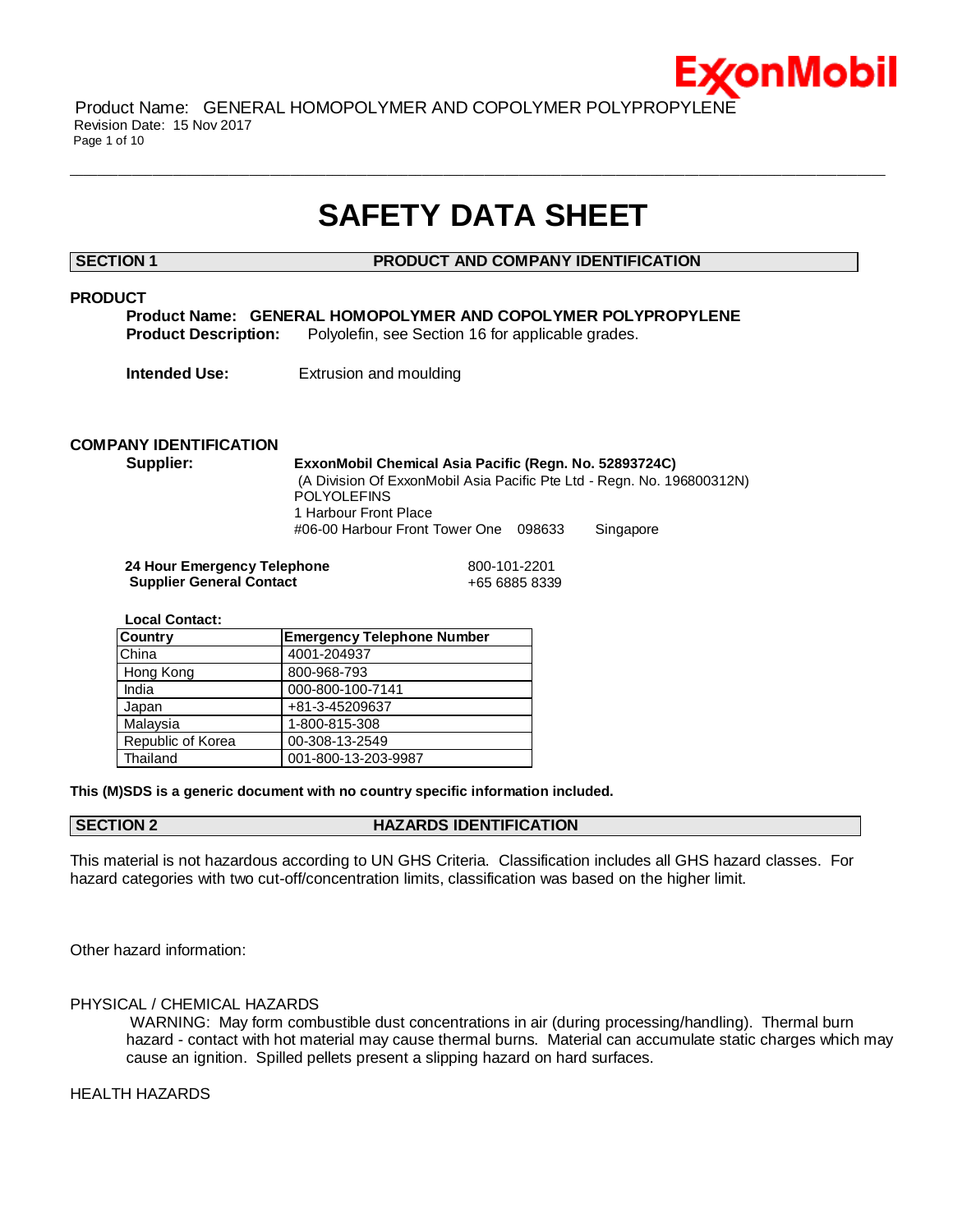

Product Name: GENERAL HOMOPOLYMER AND COPOLYMER POLYPROPYLENE Revision Date: 15 Nov 2017 Page 1 of 10

# **SAFETY DATA SHEET**

 $\bot$  , and the contribution of the contribution of the contribution of the contribution of the contribution of the contribution of the contribution of the contribution of the contribution of the contribution of the contri

**SECTION 1 PRODUCT AND COMPANY IDENTIFICATION**

#### **PRODUCT**

**Product Name: GENERAL HOMOPOLYMER AND COPOLYMER POLYPROPYLENE Product Description:** Polyolefin, see Section 16 for applicable grades.

**Intended Use:** Extrusion and moulding

## **COMPANY IDENTIFICATION**

**Supplier: ExxonMobil Chemical Asia Pacific (Regn. No. 52893724C)**

(A Division Of ExxonMobil Asia Pacific Pte Ltd - Regn. No. 196800312N) POLYOLEFINS 1 Harbour Front Place

#06-00 Harbour Front Tower One 098633 Singapore

**24 Hour Emergency Telephone** 800-101-2201 **Supplier General Contact** +65 6885 8339

 **Local Contact:** 

| <b>Country</b>    | <b>Emergency Telephone Number</b> |
|-------------------|-----------------------------------|
| China             | 4001-204937                       |
| Hong Kong         | 800-968-793                       |
| India             | 000-800-100-7141                  |
| Japan             | +81-3-45209637                    |
| Malaysia          | 1-800-815-308                     |
| Republic of Korea | 00-308-13-2549                    |
| Thailand          | 001-800-13-203-9987               |

**This (M)SDS is a generic document with no country specific information included.**

### **SECTION 2 HAZARDS IDENTIFICATION**

This material is not hazardous according to UN GHS Criteria. Classification includes all GHS hazard classes. For hazard categories with two cut-off/concentration limits, classification was based on the higher limit.

Other hazard information:

#### PHYSICAL / CHEMICAL HAZARDS

WARNING: May form combustible dust concentrations in air (during processing/handling). Thermal burn hazard - contact with hot material may cause thermal burns. Material can accumulate static charges which may cause an ignition. Spilled pellets present a slipping hazard on hard surfaces.

HEALTH HAZARDS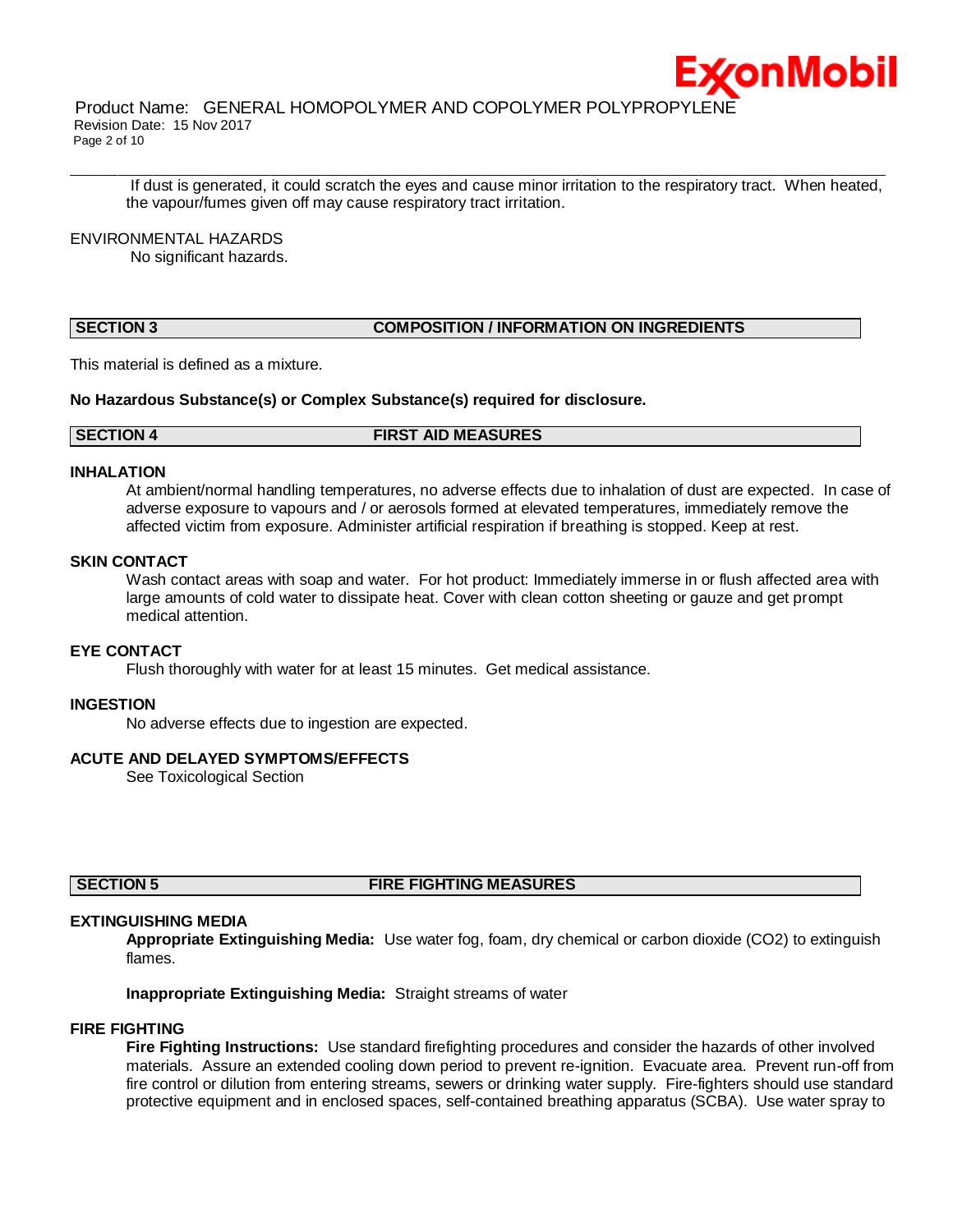

Product Name: GENERAL HOMOPOLYMER AND COPOLYMER POLYPROPYLENE Revision Date: 15 Nov 2017 Page 2 of 10

If dust is generated, it could scratch the eyes and cause minor irritation to the respiratory tract. When heated, the vapour/fumes given off may cause respiratory tract irritation.

 $\bot$  , and the contribution of the contribution of the contribution of the contribution of the contribution of the contribution of the contribution of the contribution of the contribution of the contribution of the contri

#### ENVIRONMENTAL HAZARDS

No significant hazards.

### **SECTION 3 COMPOSITION / INFORMATION ON INGREDIENTS**

This material is defined as a mixture.

**No Hazardous Substance(s) or Complex Substance(s) required for disclosure.**

#### **SECTION 4 FIRST AID MEASURES**

#### **INHALATION**

At ambient/normal handling temperatures, no adverse effects due to inhalation of dust are expected. In case of adverse exposure to vapours and / or aerosols formed at elevated temperatures, immediately remove the affected victim from exposure. Administer artificial respiration if breathing is stopped. Keep at rest.

#### **SKIN CONTACT**

Wash contact areas with soap and water. For hot product: Immediately immerse in or flush affected area with large amounts of cold water to dissipate heat. Cover with clean cotton sheeting or gauze and get prompt medical attention.

### **EYE CONTACT**

Flush thoroughly with water for at least 15 minutes. Get medical assistance.

#### **INGESTION**

No adverse effects due to ingestion are expected.

#### **ACUTE AND DELAYED SYMPTOMS/EFFECTS**

See Toxicological Section

#### **SECTION 5 FIRE FIGHTING MEASURES**

#### **EXTINGUISHING MEDIA**

**Appropriate Extinguishing Media:** Use water fog, foam, dry chemical or carbon dioxide (CO2) to extinguish flames.

**Inappropriate Extinguishing Media:** Straight streams of water

#### **FIRE FIGHTING**

**Fire Fighting Instructions:** Use standard firefighting procedures and consider the hazards of other involved materials. Assure an extended cooling down period to prevent re-ignition. Evacuate area. Prevent run-off from fire control or dilution from entering streams, sewers or drinking water supply. Fire-fighters should use standard protective equipment and in enclosed spaces, self-contained breathing apparatus (SCBA). Use water spray to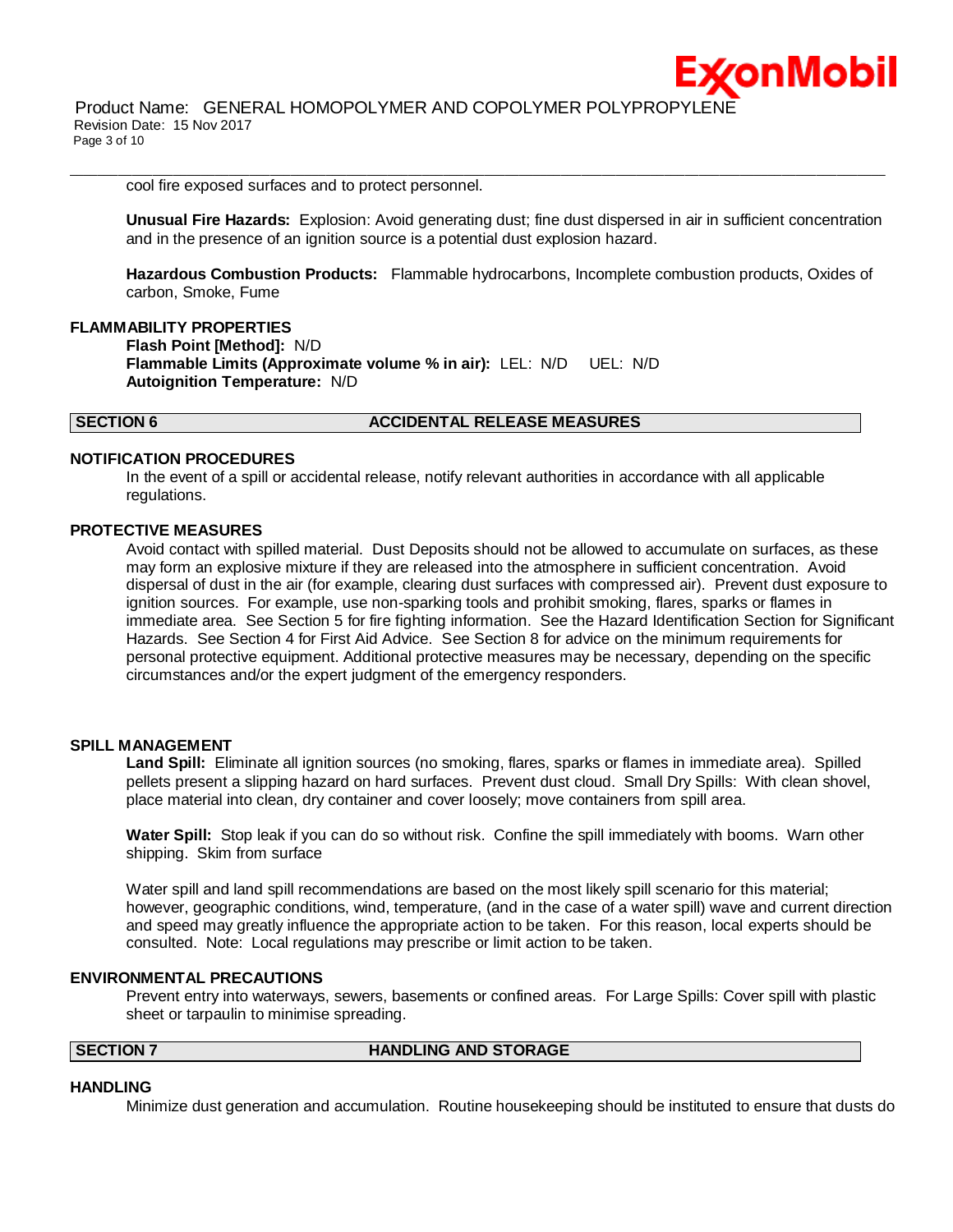cool fire exposed surfaces and to protect personnel.

**Unusual Fire Hazards:** Explosion: Avoid generating dust; fine dust dispersed in air in sufficient concentration and in the presence of an ignition source is a potential dust explosion hazard.

ix∕onMobil

 $\bot$  , and the contribution of the contribution of the contribution of the contribution of the contribution of the contribution of the contribution of the contribution of the contribution of the contribution of the contri

**Hazardous Combustion Products:** Flammable hydrocarbons, Incomplete combustion products, Oxides of carbon, Smoke, Fume

### **FLAMMABILITY PROPERTIES**

**Flash Point [Method]:** N/D **Flammable Limits (Approximate volume % in air):** LEL: N/D UEL: N/D **Autoignition Temperature:** N/D

#### **SECTION 6 ACCIDENTAL RELEASE MEASURES**

#### **NOTIFICATION PROCEDURES**

In the event of a spill or accidental release, notify relevant authorities in accordance with all applicable regulations.

#### **PROTECTIVE MEASURES**

Avoid contact with spilled material. Dust Deposits should not be allowed to accumulate on surfaces, as these may form an explosive mixture if they are released into the atmosphere in sufficient concentration. Avoid dispersal of dust in the air (for example, clearing dust surfaces with compressed air). Prevent dust exposure to ignition sources. For example, use non-sparking tools and prohibit smoking, flares, sparks or flames in immediate area. See Section 5 for fire fighting information. See the Hazard Identification Section for Significant Hazards. See Section 4 for First Aid Advice. See Section 8 for advice on the minimum requirements for personal protective equipment. Additional protective measures may be necessary, depending on the specific circumstances and/or the expert judgment of the emergency responders.

#### **SPILL MANAGEMENT**

**Land Spill:** Eliminate all ignition sources (no smoking, flares, sparks or flames in immediate area). Spilled pellets present a slipping hazard on hard surfaces. Prevent dust cloud. Small Dry Spills: With clean shovel, place material into clean, dry container and cover loosely; move containers from spill area.

**Water Spill:** Stop leak if you can do so without risk. Confine the spill immediately with booms. Warn other shipping. Skim from surface

Water spill and land spill recommendations are based on the most likely spill scenario for this material; however, geographic conditions, wind, temperature, (and in the case of a water spill) wave and current direction and speed may greatly influence the appropriate action to be taken. For this reason, local experts should be consulted. Note: Local regulations may prescribe or limit action to be taken.

#### **ENVIRONMENTAL PRECAUTIONS**

Prevent entry into waterways, sewers, basements or confined areas. For Large Spills: Cover spill with plastic sheet or tarpaulin to minimise spreading.

**SECTION 7 HANDLING AND STORAGE** 

#### **HANDLING**

Minimize dust generation and accumulation. Routine housekeeping should be instituted to ensure that dusts do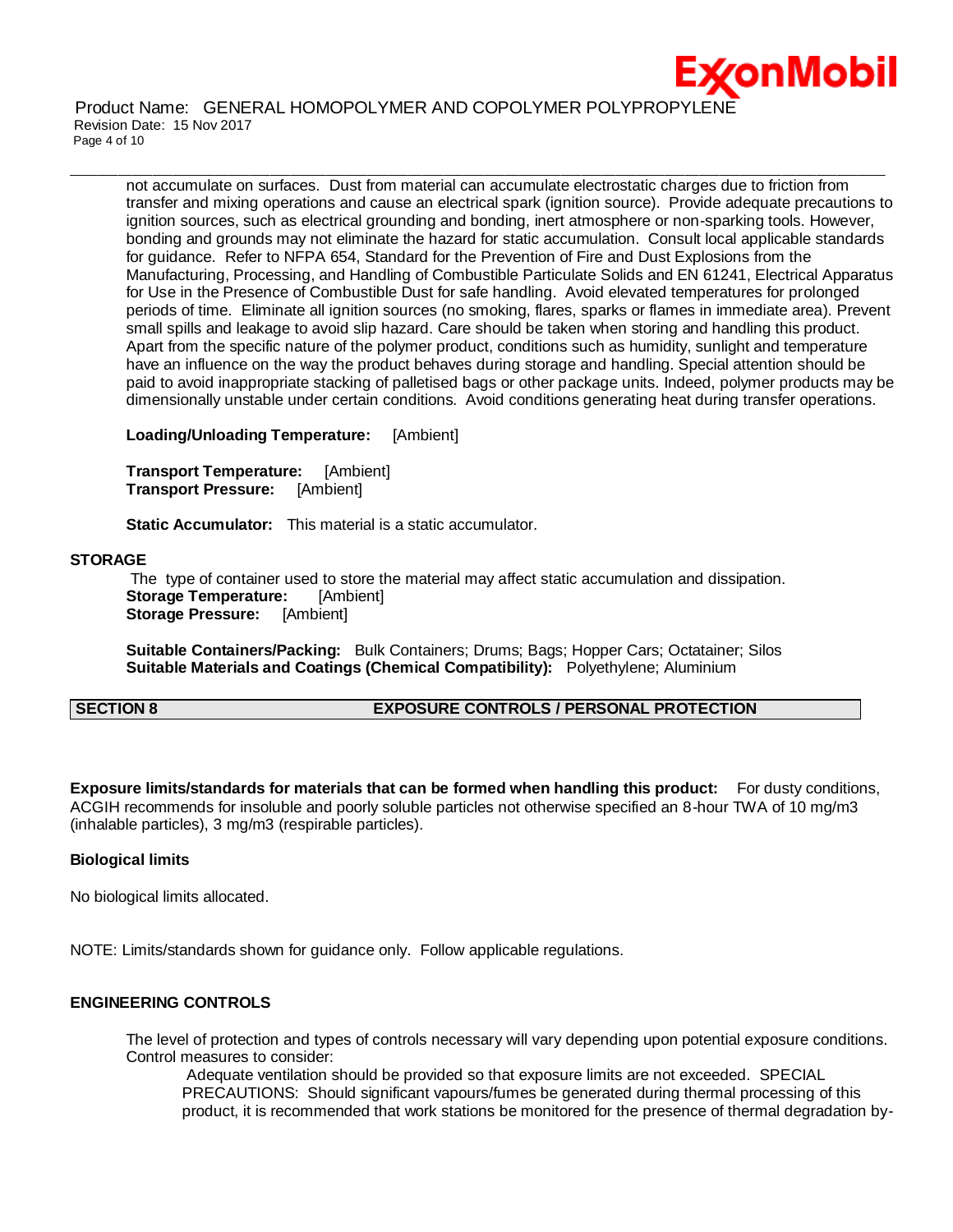

Product Name: GENERAL HOMOPOLYMER AND COPOLYMER POLYPROPYLENE Revision Date: 15 Nov 2017 Page 4 of 10

not accumulate on surfaces. Dust from material can accumulate electrostatic charges due to friction from transfer and mixing operations and cause an electrical spark (ignition source). Provide adequate precautions to ignition sources, such as electrical grounding and bonding, inert atmosphere or non-sparking tools. However, bonding and grounds may not eliminate the hazard for static accumulation. Consult local applicable standards for guidance. Refer to NFPA 654, Standard for the Prevention of Fire and Dust Explosions from the Manufacturing, Processing, and Handling of Combustible Particulate Solids and EN 61241, Electrical Apparatus for Use in the Presence of Combustible Dust for safe handling. Avoid elevated temperatures for prolonged periods of time. Eliminate all ignition sources (no smoking, flares, sparks or flames in immediate area). Prevent small spills and leakage to avoid slip hazard. Care should be taken when storing and handling this product. Apart from the specific nature of the polymer product, conditions such as humidity, sunlight and temperature have an influence on the way the product behaves during storage and handling. Special attention should be paid to avoid inappropriate stacking of palletised bags or other package units. Indeed, polymer products may be dimensionally unstable under certain conditions. Avoid conditions generating heat during transfer operations.

 $\bot$  , and the contribution of the contribution of the contribution of the contribution of the contribution of the contribution of the contribution of the contribution of the contribution of the contribution of the contri

**Loading/Unloading Temperature:** [Ambient]

**Transport Temperature:** [Ambient] **Transport Pressure:** [Ambient]

**Static Accumulator:** This material is a static accumulator.

#### **STORAGE**

The type of container used to store the material may affect static accumulation and dissipation. **Storage Temperature:** [Ambient] **Storage Pressure:** [Ambient]

**Suitable Containers/Packing:** Bulk Containers; Drums; Bags; Hopper Cars; Octatainer; Silos **Suitable Materials and Coatings (Chemical Compatibility):** Polyethylene; Aluminium

#### **SECTION 8 EXPOSURE CONTROLS / PERSONAL PROTECTION**

**Exposure limits/standards for materials that can be formed when handling this product:** For dusty conditions, ACGIH recommends for insoluble and poorly soluble particles not otherwise specified an 8-hour TWA of 10 mg/m3 (inhalable particles), 3 mg/m3 (respirable particles).

#### **Biological limits**

No biological limits allocated.

NOTE: Limits/standards shown for guidance only. Follow applicable regulations.

### **ENGINEERING CONTROLS**

The level of protection and types of controls necessary will vary depending upon potential exposure conditions. Control measures to consider:

Adequate ventilation should be provided so that exposure limits are not exceeded. SPECIAL PRECAUTIONS: Should significant vapours/fumes be generated during thermal processing of this product, it is recommended that work stations be monitored for the presence of thermal degradation by-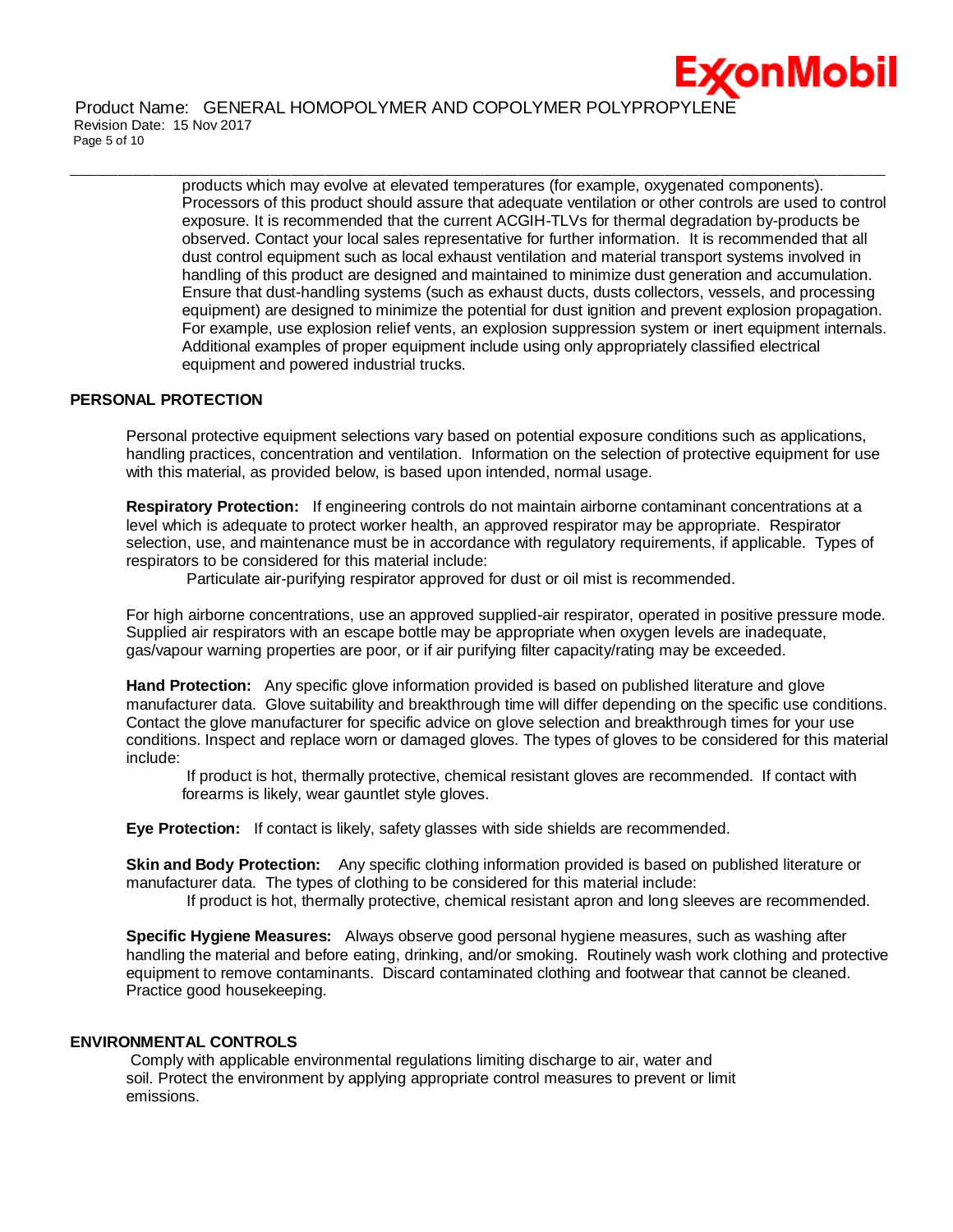

Product Name: GENERAL HOMOPOLYMER AND COPOLYMER POLYPROPYLENE Revision Date: 15 Nov 2017 Page 5 of 10

> products which may evolve at elevated temperatures (for example, oxygenated components). Processors of this product should assure that adequate ventilation or other controls are used to control exposure. It is recommended that the current ACGIH-TLVs for thermal degradation by-products be observed. Contact your local sales representative for further information. It is recommended that all dust control equipment such as local exhaust ventilation and material transport systems involved in handling of this product are designed and maintained to minimize dust generation and accumulation. Ensure that dust-handling systems (such as exhaust ducts, dusts collectors, vessels, and processing equipment) are designed to minimize the potential for dust ignition and prevent explosion propagation. For example, use explosion relief vents, an explosion suppression system or inert equipment internals. Additional examples of proper equipment include using only appropriately classified electrical equipment and powered industrial trucks.

 $\bot$  , and the contribution of the contribution of the contribution of the contribution of the contribution of the contribution of the contribution of the contribution of the contribution of the contribution of the contri

#### **PERSONAL PROTECTION**

Personal protective equipment selections vary based on potential exposure conditions such as applications, handling practices, concentration and ventilation. Information on the selection of protective equipment for use with this material, as provided below, is based upon intended, normal usage.

**Respiratory Protection:** If engineering controls do not maintain airborne contaminant concentrations at a level which is adequate to protect worker health, an approved respirator may be appropriate. Respirator selection, use, and maintenance must be in accordance with regulatory requirements, if applicable. Types of respirators to be considered for this material include:

Particulate air-purifying respirator approved for dust or oil mist is recommended.

For high airborne concentrations, use an approved supplied-air respirator, operated in positive pressure mode. Supplied air respirators with an escape bottle may be appropriate when oxygen levels are inadequate, gas/vapour warning properties are poor, or if air purifying filter capacity/rating may be exceeded.

**Hand Protection:** Any specific glove information provided is based on published literature and glove manufacturer data. Glove suitability and breakthrough time will differ depending on the specific use conditions. Contact the glove manufacturer for specific advice on glove selection and breakthrough times for your use conditions. Inspect and replace worn or damaged gloves. The types of gloves to be considered for this material include:

If product is hot, thermally protective, chemical resistant gloves are recommended. If contact with forearms is likely, wear gauntlet style gloves.

**Eye Protection:** If contact is likely, safety glasses with side shields are recommended.

**Skin and Body Protection:** Any specific clothing information provided is based on published literature or manufacturer data. The types of clothing to be considered for this material include:

If product is hot, thermally protective, chemical resistant apron and long sleeves are recommended.

**Specific Hygiene Measures:** Always observe good personal hygiene measures, such as washing after handling the material and before eating, drinking, and/or smoking. Routinely wash work clothing and protective equipment to remove contaminants. Discard contaminated clothing and footwear that cannot be cleaned. Practice good housekeeping.

#### **ENVIRONMENTAL CONTROLS**

Comply with applicable environmental regulations limiting discharge to air, water and soil. Protect the environment by applying appropriate control measures to prevent or limit emissions.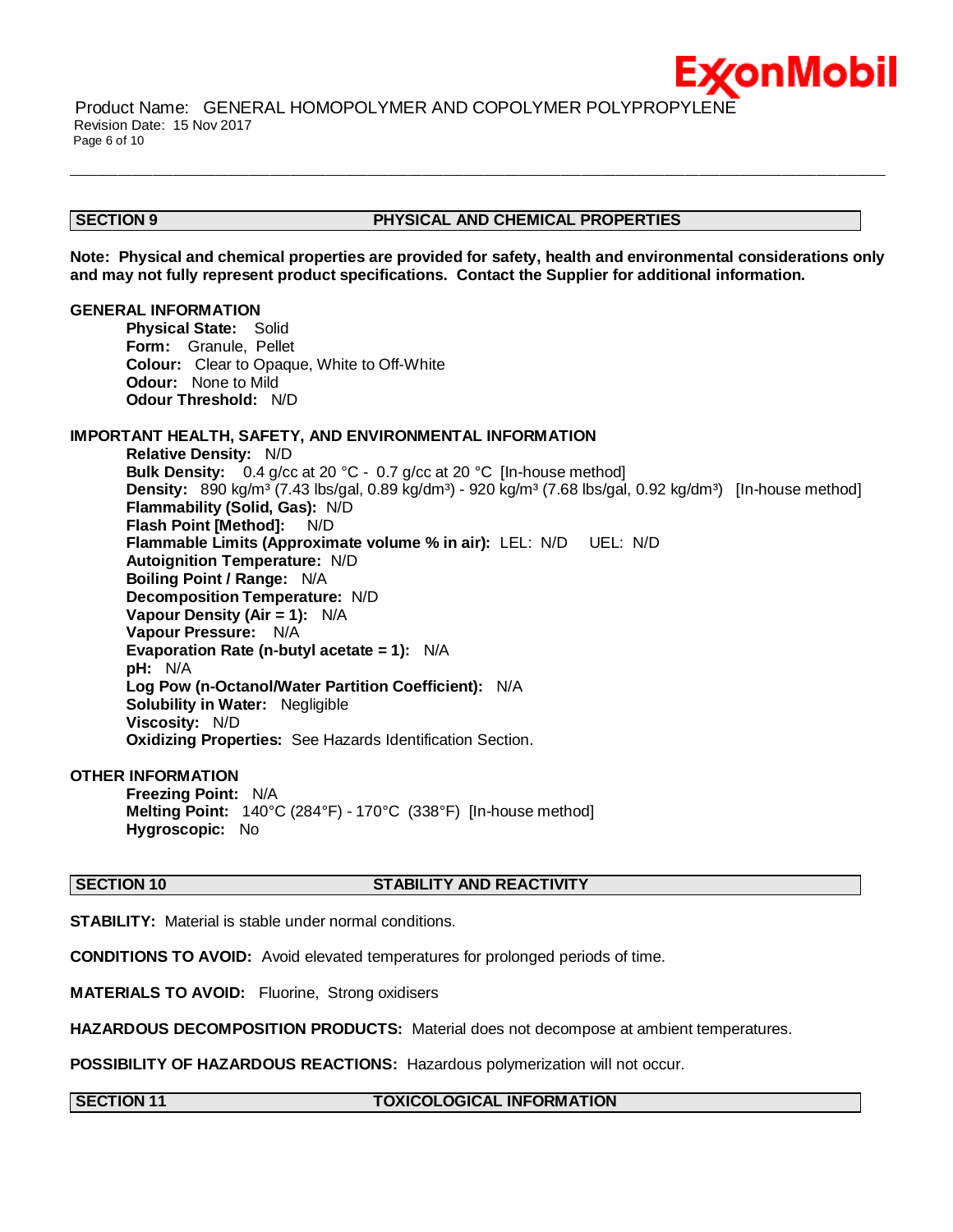#### **SECTION 9 PHYSICAL AND CHEMICAL PROPERTIES**

:*x*onMobil

**Note: Physical and chemical properties are provided for safety, health and environmental considerations only and may not fully represent product specifications. Contact the Supplier for additional information.**

 $\bot$  , and the contribution of the contribution of the contribution of the contribution of the contribution of the contribution of the contribution of the contribution of the contribution of the contribution of the contri

#### **GENERAL INFORMATION**

**Physical State:** Solid **Form:** Granule, Pellet **Colour:** Clear to Opaque, White to Off-White **Odour:** None to Mild **Odour Threshold:** N/D

### **IMPORTANT HEALTH, SAFETY, AND ENVIRONMENTAL INFORMATION**

**Relative Density:** N/D **Bulk Density:** 0.4 g/cc at 20 °C - 0.7 g/cc at 20 °C [In-house method] **Density:** 890 kg/m<sup>3</sup> (7.43 lbs/gal, 0.89 kg/dm<sup>3</sup>) - 920 kg/m<sup>3</sup> (7.68 lbs/gal, 0.92 kg/dm<sup>3</sup>) [In-house method] **Flammability (Solid, Gas):** N/D **Flash Point [Method]:** N/D **Flammable Limits (Approximate volume % in air):** LEL: N/D UEL: N/D **Autoignition Temperature:** N/D **Boiling Point / Range:** N/A **Decomposition Temperature:** N/D **Vapour Density (Air = 1):** N/A **Vapour Pressure:** N/A **Evaporation Rate (n-butyl acetate = 1):** N/A **pH:** N/A **Log Pow (n-Octanol/Water Partition Coefficient):** N/A **Solubility in Water:** Negligible **Viscosity:** N/D **Oxidizing Properties:** See Hazards Identification Section.

#### **OTHER INFORMATION**

**Freezing Point:** N/A **Melting Point:** 140°C (284°F) - 170°C (338°F) [In-house method] **Hygroscopic:** No

#### **SECTION 10 STABILITY AND REACTIVITY**

**STABILITY:** Material is stable under normal conditions.

**CONDITIONS TO AVOID:** Avoid elevated temperatures for prolonged periods of time.

**MATERIALS TO AVOID:** Fluorine, Strong oxidisers

**HAZARDOUS DECOMPOSITION PRODUCTS:** Material does not decompose at ambient temperatures.

**POSSIBILITY OF HAZARDOUS REACTIONS:** Hazardous polymerization will not occur.

#### **SECTION 11 TOXICOLOGICAL INFORMATION**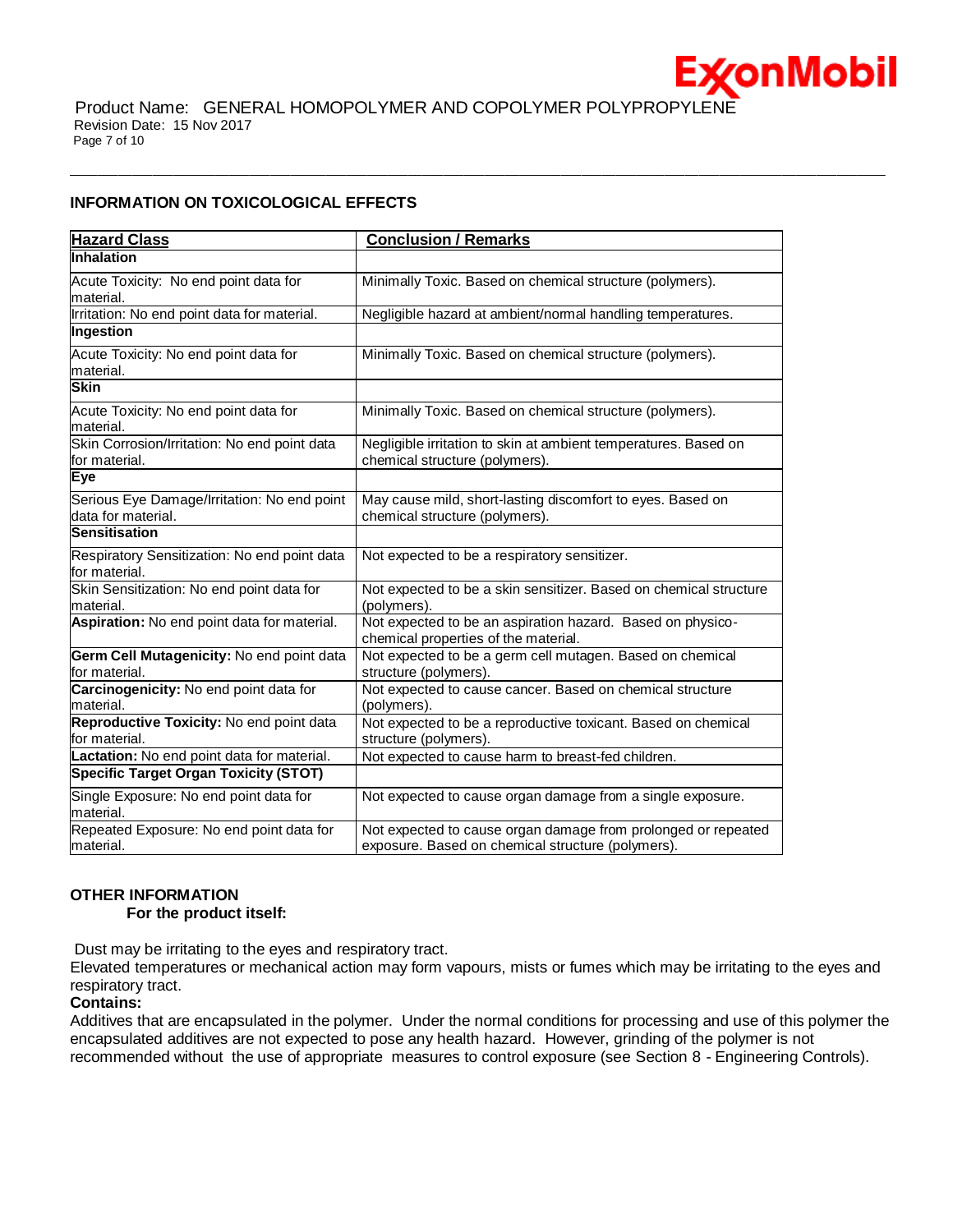

 $\bot$  , and the contribution of the contribution of the contribution of the contribution of the contribution of the contribution of the contribution of the contribution of the contribution of the contribution of the contri

#### **INFORMATION ON TOXICOLOGICAL EFFECTS**

| <b>Hazard Class</b>                                               | <b>Conclusion / Remarks</b>                                                                                        |
|-------------------------------------------------------------------|--------------------------------------------------------------------------------------------------------------------|
| Inhalation                                                        |                                                                                                                    |
| Acute Toxicity: No end point data for<br>material.                | Minimally Toxic. Based on chemical structure (polymers).                                                           |
| Irritation: No end point data for material.                       | Negligible hazard at ambient/normal handling temperatures.                                                         |
| Ingestion                                                         |                                                                                                                    |
| Acute Toxicity: No end point data for<br>material.                | Minimally Toxic. Based on chemical structure (polymers).                                                           |
| <b>Skin</b>                                                       |                                                                                                                    |
| Acute Toxicity: No end point data for<br>material.                | Minimally Toxic. Based on chemical structure (polymers).                                                           |
| Skin Corrosion/Irritation: No end point data<br>for material.     | Negligible irritation to skin at ambient temperatures. Based on<br>chemical structure (polymers).                  |
| Eye                                                               |                                                                                                                    |
| Serious Eye Damage/Irritation: No end point<br>data for material. | May cause mild, short-lasting discomfort to eyes. Based on<br>chemical structure (polymers).                       |
| <b>Sensitisation</b>                                              |                                                                                                                    |
| Respiratory Sensitization: No end point data<br>for material.     | Not expected to be a respiratory sensitizer.                                                                       |
| Skin Sensitization: No end point data for<br>material.            | Not expected to be a skin sensitizer. Based on chemical structure<br>(polymers).                                   |
| Aspiration: No end point data for material.                       | Not expected to be an aspiration hazard. Based on physico-<br>chemical properties of the material.                 |
| Germ Cell Mutagenicity: No end point data<br>for material.        | Not expected to be a germ cell mutagen. Based on chemical<br>structure (polymers).                                 |
| Carcinogenicity: No end point data for<br>material.               | Not expected to cause cancer. Based on chemical structure<br>(polymers).                                           |
| Reproductive Toxicity: No end point data<br>for material.         | Not expected to be a reproductive toxicant. Based on chemical<br>structure (polymers).                             |
| Lactation: No end point data for material.                        | Not expected to cause harm to breast-fed children.                                                                 |
| <b>Specific Target Organ Toxicity (STOT)</b>                      |                                                                                                                    |
| Single Exposure: No end point data for<br>material.               | Not expected to cause organ damage from a single exposure.                                                         |
| Repeated Exposure: No end point data for<br>material.             | Not expected to cause organ damage from prolonged or repeated<br>exposure. Based on chemical structure (polymers). |

### **OTHER INFORMATION**

 **For the product itself:** 

Dust may be irritating to the eyes and respiratory tract.

Elevated temperatures or mechanical action may form vapours, mists or fumes which may be irritating to the eyes and respiratory tract.

### **Contains:**

Additives that are encapsulated in the polymer. Under the normal conditions for processing and use of this polymer the encapsulated additives are not expected to pose any health hazard. However, grinding of the polymer is not recommended without the use of appropriate measures to control exposure (see Section 8 - Engineering Controls).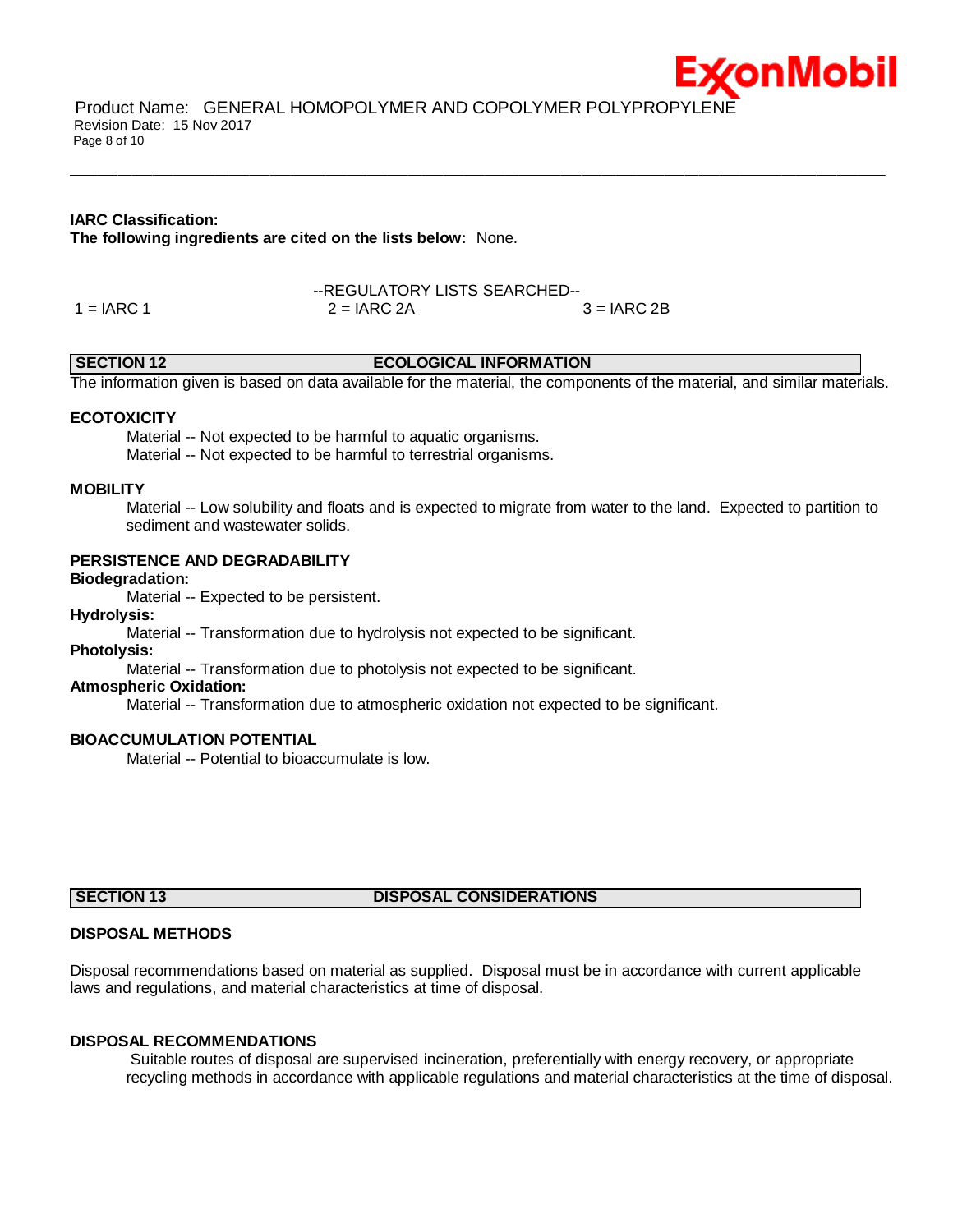

Product Name: GENERAL HOMOPOLYMER AND COPOLYMER POLYPROPYLENE Revision Date: 15 Nov 2017 Page 8 of 10

#### **IARC Classification:**

**The following ingredients are cited on the lists below:** None.

--REGULATORY LISTS SEARCHED--  $1 = IARC 1$   $2 = IARC 2A$   $3 = IARC 2B$ 

#### **SECTION 12 ECOLOGICAL INFORMATION**

 $\bot$  , and the contribution of the contribution of the contribution of the contribution of the contribution of the contribution of the contribution of the contribution of the contribution of the contribution of the contri

The information given is based on data available for the material, the components of the material, and similar materials.

#### **ECOTOXICITY**

 Material -- Not expected to be harmful to aquatic organisms. Material -- Not expected to be harmful to terrestrial organisms.

#### **MOBILITY**

 Material -- Low solubility and floats and is expected to migrate from water to the land. Expected to partition to sediment and wastewater solids.

#### **PERSISTENCE AND DEGRADABILITY**

#### **Biodegradation:**

Material -- Expected to be persistent.

### **Hydrolysis:**

Material -- Transformation due to hydrolysis not expected to be significant.

**Photolysis:**

Material -- Transformation due to photolysis not expected to be significant.

#### **Atmospheric Oxidation:**

Material -- Transformation due to atmospheric oxidation not expected to be significant.

#### **BIOACCUMULATION POTENTIAL**

Material -- Potential to bioaccumulate is low.

### **SECTION 13 DISPOSAL CONSIDERATIONS**

#### **DISPOSAL METHODS**

Disposal recommendations based on material as supplied. Disposal must be in accordance with current applicable laws and regulations, and material characteristics at time of disposal.

#### **DISPOSAL RECOMMENDATIONS**

Suitable routes of disposal are supervised incineration, preferentially with energy recovery, or appropriate recycling methods in accordance with applicable regulations and material characteristics at the time of disposal.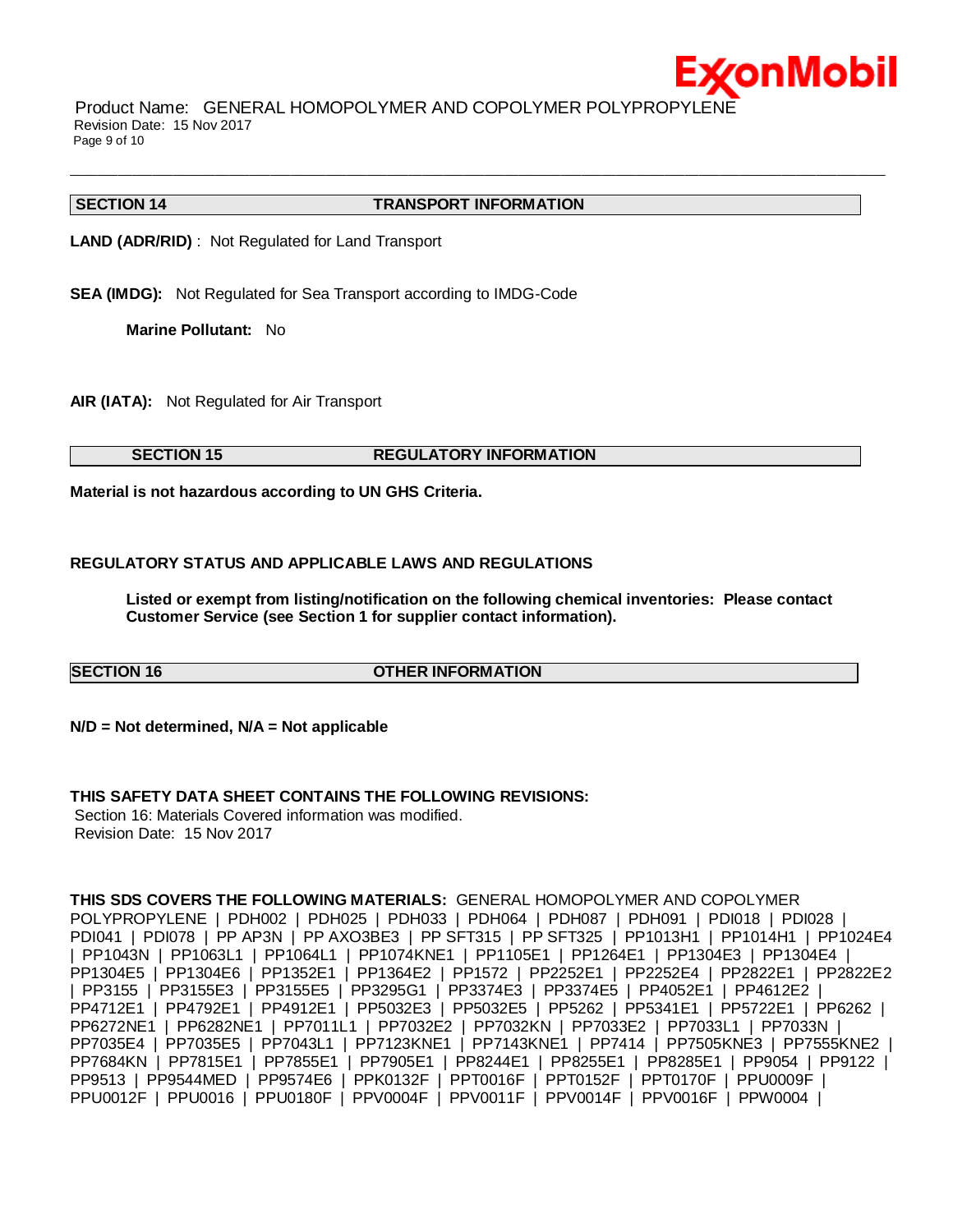

Product Name: GENERAL HOMOPOLYMER AND COPOLYMER POLYPROPYLENE Revision Date: 15 Nov 2017 Page 9 of 10

#### **SECTION 14 TRANSPORT INFORMATION**

 $\bot$  , and the contribution of the contribution of the contribution of the contribution of the contribution of the contribution of the contribution of the contribution of the contribution of the contribution of the contri

**LAND (ADR/RID)** : Not Regulated for Land Transport

**SEA (IMDG):** Not Regulated for Sea Transport according to IMDG-Code

**Marine Pollutant:** No

**AIR (IATA):** Not Regulated for Air Transport

### **SECTION 15 REGULATORY INFORMATION**

**Material is not hazardous according to UN GHS Criteria.**

### **REGULATORY STATUS AND APPLICABLE LAWS AND REGULATIONS**

**Listed or exempt from listing/notification on the following chemical inventories: Please contact Customer Service (see Section 1 for supplier contact information).**

#### **SECTION 16 OTHER INFORMATION**

**N/D = Not determined, N/A = Not applicable**

#### **THIS SAFETY DATA SHEET CONTAINS THE FOLLOWING REVISIONS:**

Section 16: Materials Covered information was modified. Revision Date: 15 Nov 2017

**THIS SDS COVERS THE FOLLOWING MATERIALS:** GENERAL HOMOPOLYMER AND COPOLYMER POLYPROPYLENE | PDH002 | PDH025 | PDH033 | PDH064 | PDH087 | PDH091 | PDI018 | PDI028 | PDI041 | PDI078 | PP AP3N | PP AXO3BE3 | PP SFT315 | PP SFT325 | PP1013H1 | PP1014H1 | PP1024E4 | PP1043N | PP1063L1 | PP1064L1 | PP1074KNE1 | PP1105E1 | PP1264E1 | PP1304E3 | PP1304E4 | PP1304E5 | PP1304E6 | PP1352E1 | PP1364E2 | PP1572 | PP2252E1 | PP2252E4 | PP2822E1 | PP2822E2 | PP3155 | PP3155E3 | PP3155E5 | PP3295G1 | PP3374E3 | PP3374E5 | PP4052E1 | PP4612E2 | PP4712E1 | PP4792E1 | PP4912E1 | PP5032E3 | PP5032E5 | PP5262 | PP5341E1 | PP5722E1 | PP6262 | PP6272NE1 | PP6282NE1 | PP7011L1 | PP7032E2 | PP7032KN | PP7033E2 | PP7033L1 | PP7033N | PP7035E4 | PP7035E5 | PP7043L1 | PP7123KNE1 | PP7143KNE1 | PP7414 | PP7505KNE3 | PP7555KNE2 | PP7684KN | PP7815E1 | PP7855E1 | PP7905E1 | PP8244E1 | PP8255E1 | PP8285E1 | PP9054 | PP9122 | PP9513 | PP9544MED | PP9574E6 | PPK0132F | PPT0016F | PPT0152F | PPT0170F | PPU0009F | PPU0012F | PPU0016 | PPU0180F | PPV0004F | PPV0011F | PPV0014F | PPV0016F | PPW0004 |